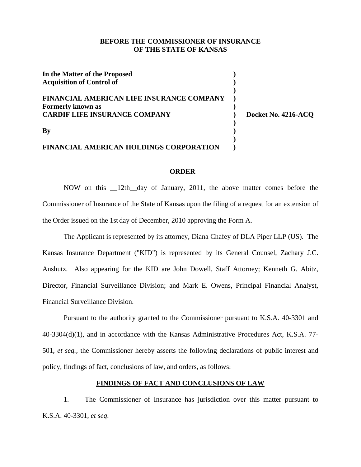### **BEFORE THE COMMISSIONER OF INSURANCE OF THE STATE OF KANSAS**

**In the Matter of the Proposed )**  Acquisition of Control of  $\Box$ **) FINANCIAL AMERICAN LIFE INSURANCE COMPANY )**  Formerly known as *manufacture as <b>Formerly* known as *manufacture as <b><i>manufacture*  $\left( \frac{1}{2} \right)$ **CARDIF LIFE INSURANCE COMPANY ) Docket No. 4216-ACQ ) By** ) **) FINANCIAL AMERICAN HOLDINGS CORPORATION )** 

#### **ORDER**

NOW on this \_\_12th\_\_day of January, 2011, the above matter comes before the Commissioner of Insurance of the State of Kansas upon the filing of a request for an extension of the Order issued on the 1st day of December, 2010 approving the Form A.

The Applicant is represented by its attorney, Diana Chafey of DLA Piper LLP (US). The Kansas Insurance Department ("KID") is represented by its General Counsel, Zachary J.C. Anshutz. Also appearing for the KID are John Dowell, Staff Attorney; Kenneth G. Abitz, Director, Financial Surveillance Division; and Mark E. Owens, Principal Financial Analyst, Financial Surveillance Division.

Pursuant to the authority granted to the Commissioner pursuant to K.S.A. 40-3301 and 40-3304(d)(1), and in accordance with the Kansas Administrative Procedures Act, K.S.A. 77- 501, *et seq.,* the Commissioner hereby asserts the following declarations of public interest and policy, findings of fact, conclusions of law, and orders, as follows:

## **FINDINGS OF FACT AND CONCLUSIONS OF LAW**

1. The Commissioner of Insurance has jurisdiction over this matter pursuant to K.S.A. 40-3301, *et seq*.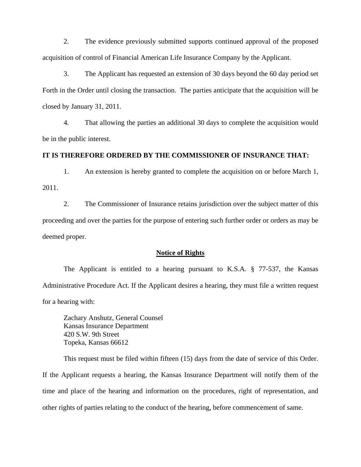2. The evidence previously submitted supports continued approval of the proposed acquisition of control of Financial American Life Insurance Company by the Applicant.

3. The Applicant has requested an extension of 30 days beyond the 60 day period set Forth in the Order until closing the transaction. The parties anticipate that the acquisition will be closed by January 31, 2011.

4. That allowing the parties an additional 30 days to complete the acquisition would be in the public interest.

#### **IT IS THEREFORE ORDERED BY THE COMMISSIONER OF INSURANCE THAT:**

1. An extension is hereby granted to complete the acquisition on or before March 1, 2011.

2. The Commissioner of Insurance retains jurisdiction over the subject matter of this proceeding and over the parties for the purpose of entering such further order or orders as may be deemed proper.

#### **Notice of Rights**

The Applicant is entitled to a hearing pursuant to K.S.A. § 77-537, the Kansas Administrative Procedure Act. If the Applicant desires a hearing, they must file a written request for a hearing with:

Zachary Anshutz, General Counsel Kansas Insurance Department 420 S.W. 9th Street Topeka, Kansas 66612

This request must be filed within fifteen (15) days from the date of service of this Order. If the Applicant requests a hearing, the Kansas Insurance Department will notify them of the time and place of the hearing and information on the procedures, right of representation, and other rights of parties relating to the conduct of the hearing, before commencement of same.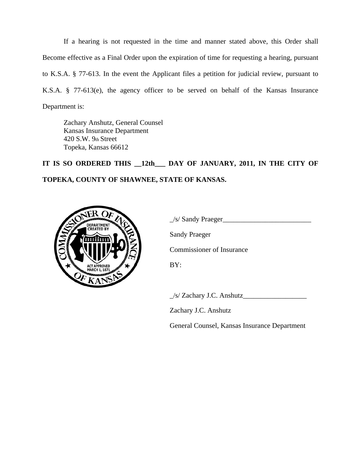If a hearing is not requested in the time and manner stated above, this Order shall Become effective as a Final Order upon the expiration of time for requesting a hearing, pursuant to K.S.A. § 77-613. In the event the Applicant files a petition for judicial review, pursuant to K.S.A. § 77-613(e), the agency officer to be served on behalf of the Kansas Insurance Department is:

Zachary Anshutz, General Counsel Kansas Insurance Department 420 S.W. 9th Street Topeka, Kansas 66612

**IT IS SO ORDERED THIS \_\_12th\_\_\_ DAY OF JANUARY, 2011, IN THE CITY OF TOPEKA, COUNTY OF SHAWNEE, STATE OF KANSAS.** 



 $\angle$ /s/ Sandy Praeger $\angle$ 

Sandy Praeger

Commissioner of Insurance

BY:

\_/s/ Zachary J.C. Anshutz\_\_\_\_\_\_\_\_\_\_\_\_\_\_\_\_\_\_

Zachary J.C. Anshutz

General Counsel, Kansas Insurance Department